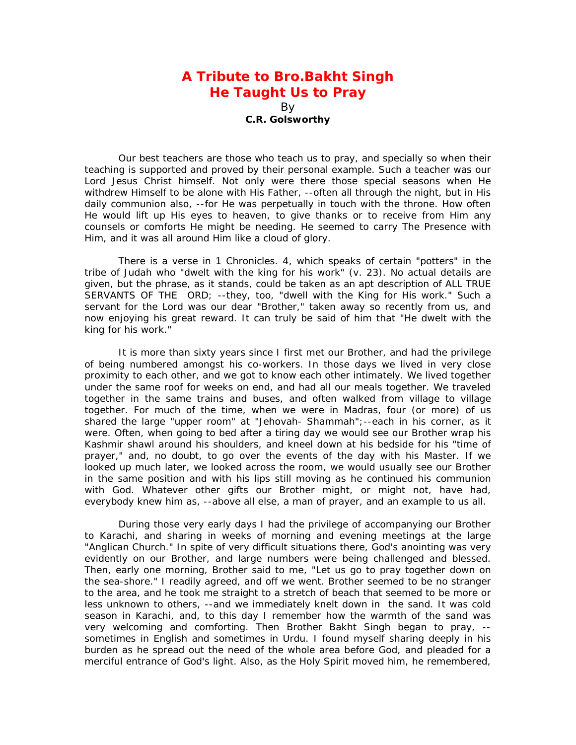## **A Tribute to Bro.Bakht Singh He Taught Us to Pray**

By **C.R. Golsworthy** 

Our best teachers are those who teach us to pray, and specially so when their teaching is supported and proved by their personal example. Such a teacher was our Lord Jesus Christ himself. Not only were there those special seasons when He withdrew Himself to be alone with His Father, --often all through the night, but in His daily communion also, --for He was perpetually in touch with the throne. How often He would lift up His eyes to heaven, to give thanks or to receive from Him any counsels or comforts He might be needing. He seemed to carry The Presence with Him, and it was all around Him like a cloud of glory.

There is a verse in 1 Chronicles. 4, which speaks of certain "potters" in the tribe of Judah who "dwelt with the king for his work" (v. 23). No actual details are given, but the phrase, as it stands, could be taken as an apt description of ALL TRUE SERVANTS OF THE ORD; --they, too, "dwell with the King for His work." Such a servant for the Lord was our dear "Brother," taken away so recently from us, and now enjoying his great reward. It can truly be said of him that "He dwelt with the king for his work."

It is more than sixty years since I first met our Brother, and had the privilege of being numbered amongst his co-workers. In those days we lived in very close proximity to each other, and we got to know each other intimately. We lived together under the same roof for weeks on end, and had all our meals together. We traveled together in the same trains and buses, and often walked from village to village together. For much of the time, when we were in Madras, four (or more) of us shared the large "upper room" at "Jehovah- Shammah";--each in his corner, as it were. Often, when going to bed after a tiring day we would see our Brother wrap his Kashmir shawl around his shoulders, and kneel down at his bedside for his "time of prayer," and, no doubt, to go over the events of the day with his Master. If we looked up much later, we looked across the room, we would usually see our Brother in the same position and with his lips still moving as he continued his communion with God. Whatever other gifts our Brother might, or might not, have had, everybody knew him as, --above all else, a man of prayer, and an example to us all.

During those very early days I had the privilege of accompanying our Brother to Karachi, and sharing in weeks of morning and evening meetings at the large "Anglican Church." In spite of very difficult situations there, God's anointing was very evidently on our Brother, and large numbers were being challenged and blessed. Then, early one morning, Brother said to me, "Let us go to pray together down on the sea-shore." I readily agreed, and off we went. Brother seemed to be no stranger to the area, and he took me straight to a stretch of beach that seemed to be more or less unknown to others, --and we immediately knelt down in the sand. It was cold season in Karachi, and, to this day I remember how the warmth of the sand was very welcoming and comforting. Then Brother Bakht Singh began to pray, - sometimes in English and sometimes in Urdu. I found myself sharing deeply in his burden as he spread out the need of the whole area before God, and pleaded for a merciful entrance of God's light. Also, as the Holy Spirit moved him, he remembered,